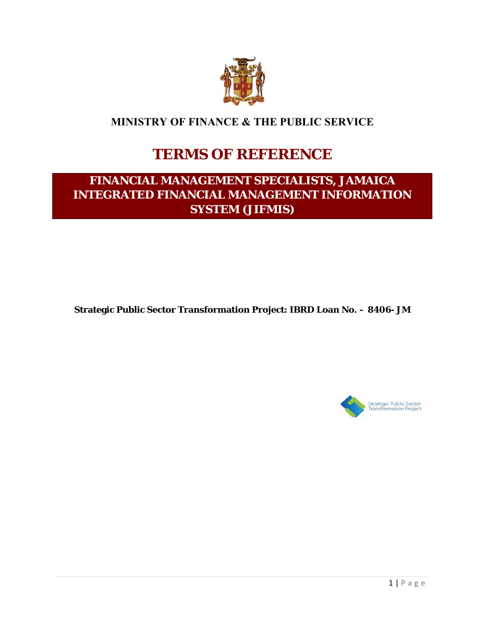

# **MINISTRY OF FINANCE & THE PUBLIC SERVICE**

# **TERMS OF REFERENCE**

# **FINANCIAL MANAGEMENT SPECIALISTS, JAMAICA INTEGRATED FINANCIAL MANAGEMENT INFORMATION SYSTEM (JIFMIS)**

**Strategic Public Sector Transformation Project: IBRD Loan No. – 8406- JM** 

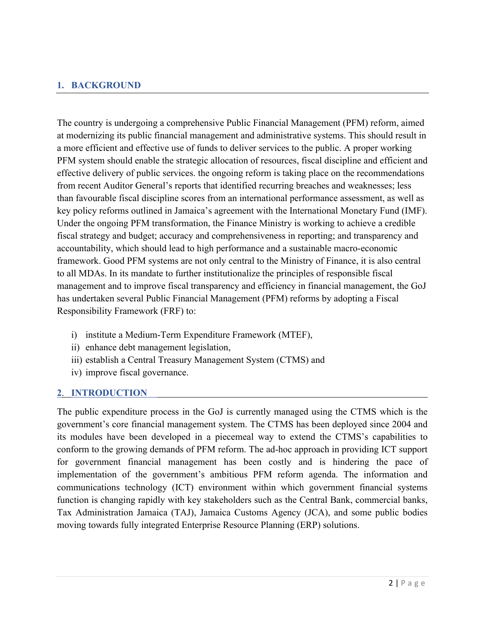# **1. BACKGROUND**

The country is undergoing a comprehensive Public Financial Management (PFM) reform, aimed at modernizing its public financial management and administrative systems. This should result in a more efficient and effective use of funds to deliver services to the public. A proper working PFM system should enable the strategic allocation of resources, fiscal discipline and efficient and effective delivery of public services. the ongoing reform is taking place on the recommendations from recent Auditor General's reports that identified recurring breaches and weaknesses; less than favourable fiscal discipline scores from an international performance assessment, as well as key policy reforms outlined in Jamaica's agreement with the International Monetary Fund (IMF). Under the ongoing PFM transformation, the Finance Ministry is working to achieve a credible fiscal strategy and budget; accuracy and comprehensiveness in reporting; and transparency and accountability, which should lead to high performance and a sustainable macro-economic framework. Good PFM systems are not only central to the Ministry of Finance, it is also central to all MDAs. In its mandate to further institutionalize the principles of responsible fiscal management and to improve fiscal transparency and efficiency in financial management, the GoJ has undertaken several Public Financial Management (PFM) reforms by adopting a Fiscal Responsibility Framework (FRF) to:

- i) institute a Medium-Term Expenditure Framework (MTEF),
- ii) enhance debt management legislation,
- iii) establish a Central Treasury Management System (CTMS) and
- iv) improve fiscal governance.

#### **2**. **INTRODUCTION**

The public expenditure process in the GoJ is currently managed using the CTMS which is the government's core financial management system. The CTMS has been deployed since 2004 and its modules have been developed in a piecemeal way to extend the CTMS's capabilities to conform to the growing demands of PFM reform. The ad-hoc approach in providing ICT support for government financial management has been costly and is hindering the pace of implementation of the government's ambitious PFM reform agenda. The information and communications technology (ICT) environment within which government financial systems function is changing rapidly with key stakeholders such as the Central Bank, commercial banks, Tax Administration Jamaica (TAJ), Jamaica Customs Agency (JCA), and some public bodies moving towards fully integrated Enterprise Resource Planning (ERP) solutions.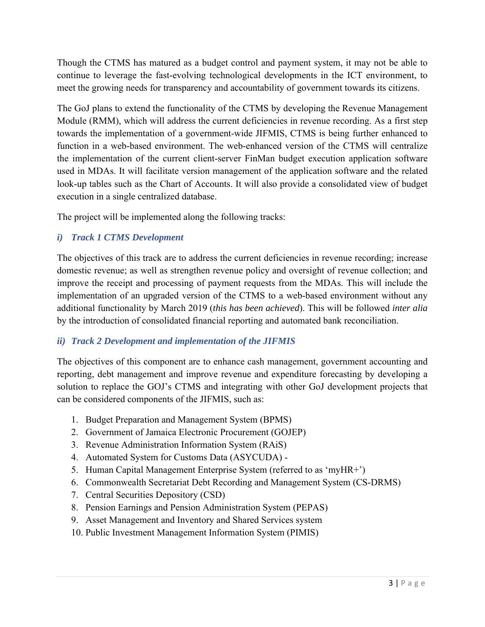Though the CTMS has matured as a budget control and payment system, it may not be able to continue to leverage the fast-evolving technological developments in the ICT environment, to meet the growing needs for transparency and accountability of government towards its citizens.

The GoJ plans to extend the functionality of the CTMS by developing the Revenue Management Module (RMM), which will address the current deficiencies in revenue recording. As a first step towards the implementation of a government-wide JIFMIS, CTMS is being further enhanced to function in a web-based environment. The web-enhanced version of the CTMS will centralize the implementation of the current client-server FinMan budget execution application software used in MDAs. It will facilitate version management of the application software and the related look-up tables such as the Chart of Accounts. It will also provide a consolidated view of budget execution in a single centralized database.

The project will be implemented along the following tracks:

# *i) Track 1 CTMS Development*

The objectives of this track are to address the current deficiencies in revenue recording; increase domestic revenue; as well as strengthen revenue policy and oversight of revenue collection; and improve the receipt and processing of payment requests from the MDAs. This will include the implementation of an upgraded version of the CTMS to a web-based environment without any additional functionality by March 2019 (*this has been achieved*). This will be followed *inter alia* by the introduction of consolidated financial reporting and automated bank reconciliation.

# *ii) Track 2 Development and implementation of the JIFMIS*

The objectives of this component are to enhance cash management, government accounting and reporting, debt management and improve revenue and expenditure forecasting by developing a solution to replace the GOJ's CTMS and integrating with other GoJ development projects that can be considered components of the JIFMIS, such as:

- 1. Budget Preparation and Management System (BPMS)
- 2. Government of Jamaica Electronic Procurement (GOJEP)
- 3. Revenue Administration Information System (RAiS)
- 4. Automated System for Customs Data (ASYCUDA) -
- 5. Human Capital Management Enterprise System (referred to as 'myHR+')
- 6. Commonwealth Secretariat Debt Recording and Management System (CS-DRMS)
- 7. Central Securities Depository (CSD)
- 8. Pension Earnings and Pension Administration System (PEPAS)
- 9. Asset Management and Inventory and Shared Services system
- 10. Public Investment Management Information System (PIMIS)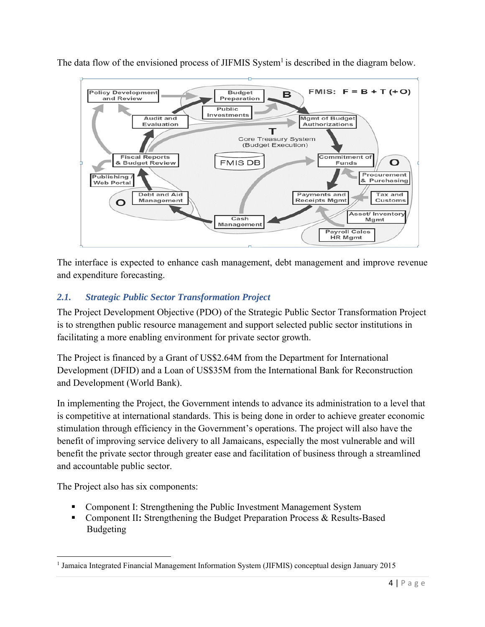

The data flow of the envisioned process of JIFMIS System<sup>1</sup> is described in the diagram below.

The interface is expected to enhance cash management, debt management and improve revenue and expenditure forecasting.

# *2.1. Strategic Public Sector Transformation Project*

The Project Development Objective (PDO) of the Strategic Public Sector Transformation Project is to strengthen public resource management and support selected public sector institutions in facilitating a more enabling environment for private sector growth.

The Project is financed by a Grant of US\$2.64M from the Department for International Development (DFID) and a Loan of US\$35M from the International Bank for Reconstruction and Development (World Bank).

In implementing the Project, the Government intends to advance its administration to a level that is competitive at international standards. This is being done in order to achieve greater economic stimulation through efficiency in the Government's operations. The project will also have the benefit of improving service delivery to all Jamaicans, especially the most vulnerable and will benefit the private sector through greater ease and facilitation of business through a streamlined and accountable public sector.

The Project also has six components:

- Component I: Strengthening the Public Investment Management System
- Component II**:** Strengthening the Budget Preparation Process & Results-Based Budgeting

<sup>1</sup> Jamaica Integrated Financial Management Information System (JIFMIS) conceptual design January 2015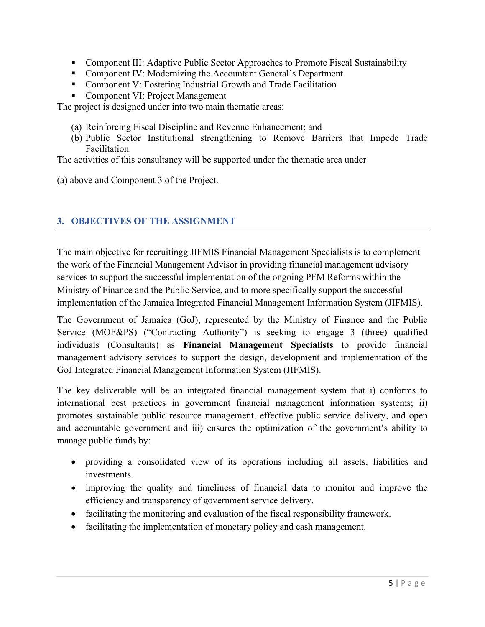- Component III: Adaptive Public Sector Approaches to Promote Fiscal Sustainability
- Component IV: Modernizing the Accountant General's Department
- Component V: Fostering Industrial Growth and Trade Facilitation
- Component VI: Project Management

The project is designed under into two main thematic areas:

- (a) Reinforcing Fiscal Discipline and Revenue Enhancement; and
- (b) Public Sector Institutional strengthening to Remove Barriers that Impede Trade Facilitation.

The activities of this consultancy will be supported under the thematic area under

(a) above and Component 3 of the Project.

#### **3. OBJECTIVES OF THE ASSIGNMENT**

The main objective for recruitingg JIFMIS Financial Management Specialists is to complement the work of the Financial Management Advisor in providing financial management advisory services to support the successful implementation of the ongoing PFM Reforms within the Ministry of Finance and the Public Service, and to more specifically support the successful implementation of the Jamaica Integrated Financial Management Information System (JIFMIS).

The Government of Jamaica (GoJ), represented by the Ministry of Finance and the Public Service (MOF&PS) ("Contracting Authority") is seeking to engage 3 (three) qualified individuals (Consultants) as **Financial Management Specialists** to provide financial management advisory services to support the design, development and implementation of the GoJ Integrated Financial Management Information System (JIFMIS).

The key deliverable will be an integrated financial management system that i) conforms to international best practices in government financial management information systems; ii) promotes sustainable public resource management, effective public service delivery, and open and accountable government and iii) ensures the optimization of the government's ability to manage public funds by:

- providing a consolidated view of its operations including all assets, liabilities and investments.
- improving the quality and timeliness of financial data to monitor and improve the efficiency and transparency of government service delivery.
- facilitating the monitoring and evaluation of the fiscal responsibility framework.
- facilitating the implementation of monetary policy and cash management.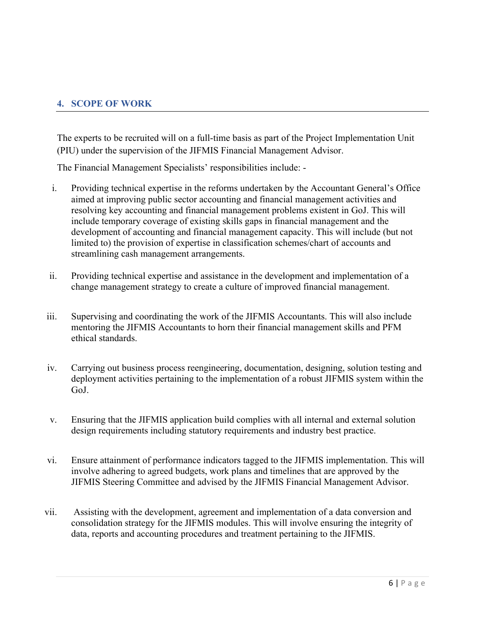### **4. SCOPE OF WORK**

The experts to be recruited will on a full-time basis as part of the Project Implementation Unit (PIU) under the supervision of the JIFMIS Financial Management Advisor.

The Financial Management Specialists' responsibilities include: -

- i. Providing technical expertise in the reforms undertaken by the Accountant General's Office aimed at improving public sector accounting and financial management activities and resolving key accounting and financial management problems existent in GoJ. This will include temporary coverage of existing skills gaps in financial management and the development of accounting and financial management capacity. This will include (but not limited to) the provision of expertise in classification schemes/chart of accounts and streamlining cash management arrangements.
- ii. Providing technical expertise and assistance in the development and implementation of a change management strategy to create a culture of improved financial management.
- iii. Supervising and coordinating the work of the JIFMIS Accountants. This will also include mentoring the JIFMIS Accountants to horn their financial management skills and PFM ethical standards.
- iv. Carrying out business process reengineering, documentation, designing, solution testing and deployment activities pertaining to the implementation of a robust JIFMIS system within the GoJ.
- v. Ensuring that the JIFMIS application build complies with all internal and external solution design requirements including statutory requirements and industry best practice.
- vi. Ensure attainment of performance indicators tagged to the JIFMIS implementation. This will involve adhering to agreed budgets, work plans and timelines that are approved by the JIFMIS Steering Committee and advised by the JIFMIS Financial Management Advisor.
- vii. Assisting with the development, agreement and implementation of a data conversion and consolidation strategy for the JIFMIS modules. This will involve ensuring the integrity of data, reports and accounting procedures and treatment pertaining to the JIFMIS.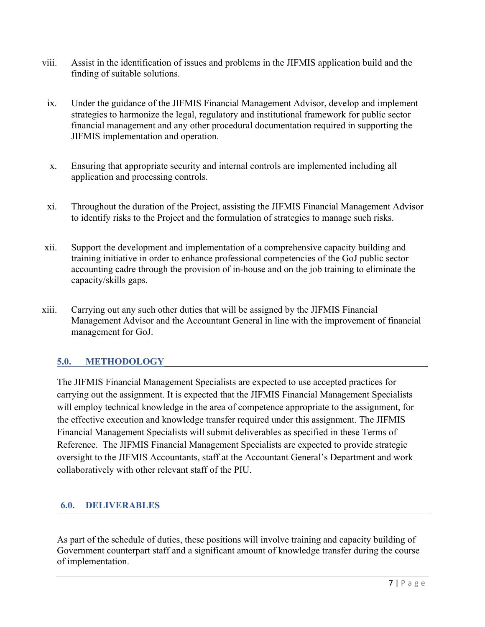- viii. Assist in the identification of issues and problems in the JIFMIS application build and the finding of suitable solutions.
- ix. Under the guidance of the JIFMIS Financial Management Advisor, develop and implement strategies to harmonize the legal, regulatory and institutional framework for public sector financial management and any other procedural documentation required in supporting the JIFMIS implementation and operation.
- x. Ensuring that appropriate security and internal controls are implemented including all application and processing controls.
- xi. Throughout the duration of the Project, assisting the JIFMIS Financial Management Advisor to identify risks to the Project and the formulation of strategies to manage such risks.
- xii. Support the development and implementation of a comprehensive capacity building and training initiative in order to enhance professional competencies of the GoJ public sector accounting cadre through the provision of in-house and on the job training to eliminate the capacity/skills gaps.
- xiii. Carrying out any such other duties that will be assigned by the JIFMIS Financial Management Advisor and the Accountant General in line with the improvement of financial management for GoJ.

#### **5.0. METHODOLOGY**

The JIFMIS Financial Management Specialists are expected to use accepted practices for carrying out the assignment. It is expected that the JIFMIS Financial Management Specialists will employ technical knowledge in the area of competence appropriate to the assignment, for the effective execution and knowledge transfer required under this assignment. The JIFMIS Financial Management Specialists will submit deliverables as specified in these Terms of Reference. The JIFMIS Financial Management Specialists are expected to provide strategic oversight to the JIFMIS Accountants, staff at the Accountant General's Department and work collaboratively with other relevant staff of the PIU.

#### **6.0. DELIVERABLES**

As part of the schedule of duties, these positions will involve training and capacity building of Government counterpart staff and a significant amount of knowledge transfer during the course of implementation.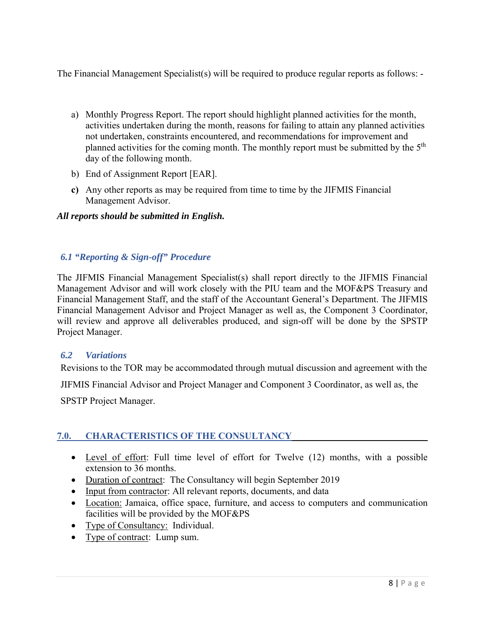The Financial Management Specialist(s) will be required to produce regular reports as follows: -

- a) Monthly Progress Report. The report should highlight planned activities for the month, activities undertaken during the month, reasons for failing to attain any planned activities not undertaken, constraints encountered, and recommendations for improvement and planned activities for the coming month. The monthly report must be submitted by the  $5<sup>th</sup>$ day of the following month.
- b) End of Assignment Report [EAR].
- **c)** Any other reports as may be required from time to time by the JIFMIS Financial Management Advisor.

# *All reports should be submitted in English.*

# *6.1 "Reporting & Sign-off" Procedure*

The JIFMIS Financial Management Specialist(s) shall report directly to the JIFMIS Financial Management Advisor and will work closely with the PIU team and the MOF&PS Treasury and Financial Management Staff, and the staff of the Accountant General's Department. The JIFMIS Financial Management Advisor and Project Manager as well as, the Component 3 Coordinator, will review and approve all deliverables produced, and sign-off will be done by the SPSTP Project Manager.

#### *6.2 Variations*

Revisions to the TOR may be accommodated through mutual discussion and agreement with the

JIFMIS Financial Advisor and Project Manager and Component 3 Coordinator, as well as, the

SPSTP Project Manager.

# **7.0. CHARACTERISTICS OF THE CONSULTANCY**

- Level of effort: Full time level of effort for Twelve (12) months, with a possible extension to 36 months.
- Duration of contract: The Consultancy will begin September 2019
- Input from contractor: All relevant reports, documents, and data
- Location: Jamaica, office space, furniture, and access to computers and communication facilities will be provided by the MOF&PS
- Type of Consultancy: Individual.
- Type of contract: Lump sum.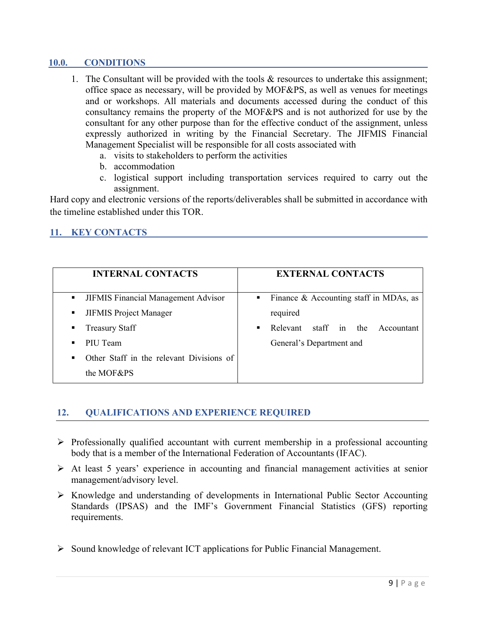#### **10.0. CONDITIONS**

- 1. The Consultant will be provided with the tools & resources to undertake this assignment; office space as necessary, will be provided by MOF&PS, as well as venues for meetings and or workshops. All materials and documents accessed during the conduct of this consultancy remains the property of the MOF&PS and is not authorized for use by the consultant for any other purpose than for the effective conduct of the assignment, unless expressly authorized in writing by the Financial Secretary. The JIFMIS Financial Management Specialist will be responsible for all costs associated with
	- a. visits to stakeholders to perform the activities
	- b. accommodation
	- c. logistical support including transportation services required to carry out the assignment.

Hard copy and electronic versions of the reports/deliverables shall be submitted in accordance with the timeline established under this TOR.

# **11. KEY CONTACTS**

| <b>INTERNAL CONTACTS</b>                                   | <b>EXTERNAL CONTACTS</b>                              |
|------------------------------------------------------------|-------------------------------------------------------|
| JIFMIS Financial Management Advisor<br>п.                  | - Finance & Accounting staff in MDAs, as              |
| <b>JIFMIS Project Manager</b><br>$\blacksquare$            | required                                              |
| <b>Treasury Staff</b><br>٠                                 | Relevant staff in the<br>Accountant<br>$\blacksquare$ |
| PIU Team<br>$\blacksquare$                                 | General's Department and                              |
| Other Staff in the relevant Divisions of<br>$\blacksquare$ |                                                       |
| the MOF&PS                                                 |                                                       |

#### **12. QUALIFICATIONS AND EXPERIENCE REQUIRED**

- $\triangleright$  Professionally qualified accountant with current membership in a professional accounting body that is a member of the International Federation of Accountants (IFAC).
- At least 5 years' experience in accounting and financial management activities at senior management/advisory level.
- Knowledge and understanding of developments in International Public Sector Accounting Standards (IPSAS) and the IMF's Government Financial Statistics (GFS) reporting requirements.
- $\triangleright$  Sound knowledge of relevant ICT applications for Public Financial Management.